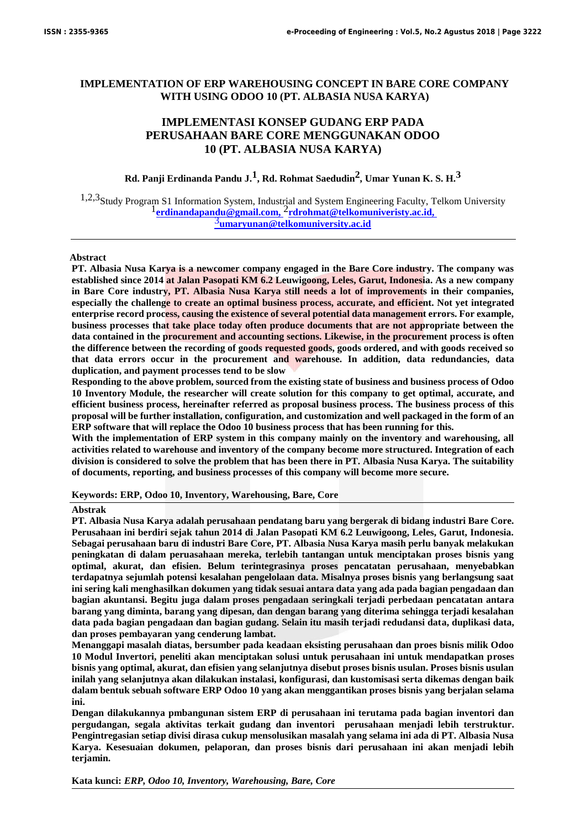# **IMPLEMENTATION OF ERP WAREHOUSING CONCEPT IN BARE CORE COMPANY WITH USING ODOO 10 (PT. ALBASIA NUSA KARYA)**

# **IMPLEMENTASI KONSEP GUDANG ERP PADA PERUSAHAAN BARE CORE MENGGUNAKAN ODOO 10 (PT. ALBASIA NUSA KARYA)**

**Rd. Panji Erdinanda Pandu J.1, Rd. Rohmat Saedudin2, Umar Yunan K. S. H.3**

1,2,3Study Program S1 Information System, Industrial and System Engineering Faculty, Telkom University 1**erdinandapandu@gmail.com,** 2**rdrohmat@telkomuniveristy.ac.id,**  3**umaryunan@telkomuniversity.ac.id**

### **Abstract**

**PT. Albasia Nusa Karya is a newcomer company engaged in the Bare Core industry. The company was established since 2014 at Jalan Pasopati KM 6.2 Leuwigoong, Leles, Garut, Indonesia. As a new company in Bare Core industry, PT. Albasia Nusa Karya still needs a lot of improvements in their companies, especially the challenge to create an optimal business process, accurate, and efficient. Not yet integrated enterprise record process, causing the existence of several potential data management errors. For example, business processes that take place today often produce documents that are not appropriate between the data contained in the procurement and accounting sections. Likewise, in the procurement process is often the difference between the recording of goods requested goods, goods ordered, and with goods received so that data errors occur in the procurement and warehouse. In addition, data redundancies, data duplication, and payment processes tend to be slow**

**Responding to the above problem, sourced from the existing state of business and business process of Odoo 10 Inventory Module, the researcher will create solution for this company to get optimal, accurate, and efficient business process, hereinafter referred as proposal business process. The business process of this proposal will be further installation, configuration, and customization and well packaged in the form of an ERP software that will replace the Odoo 10 business process that has been running for this.**

**With the implementation of ERP system in this company mainly on the inventory and warehousing, all activities related to warehouse and inventory of the company become more structured. Integration of each division is considered to solve the problem that has been there in PT. Albasia Nusa Karya. The suitability of documents, reporting, and business processes of this company will become more secure.** 

**Keywords: ERP, Odoo 10, Inventory, Warehousing, Bare, Core**

### **Abstrak**

**PT. Albasia Nusa Karya adalah perusahaan pendatang baru yang bergerak di bidang industri Bare Core. Perusahaan ini berdiri sejak tahun 2014 di Jalan Pasopati KM 6.2 Leuwigoong, Leles, Garut, Indonesia. Sebagai perusahaan baru di industri Bare Core, PT. Albasia Nusa Karya masih perlu banyak melakukan peningkatan di dalam peruasahaan mereka, terlebih tantangan untuk menciptakan proses bisnis yang optimal, akurat, dan efisien. Belum terintegrasinya proses pencatatan perusahaan, menyebabkan terdapatnya sejumlah potensi kesalahan pengelolaan data. Misalnya proses bisnis yang berlangsung saat ini sering kali menghasilkan dokumen yang tidak sesuai antara data yang ada pada bagian pengadaan dan bagian akuntansi. Begitu juga dalam proses pengadaan seringkali terjadi perbedaan pencatatan antara barang yang diminta, barang yang dipesan, dan dengan barang yang diterima sehingga terjadi kesalahan data pada bagian pengadaan dan bagian gudang. Selain itu masih terjadi redudansi data, duplikasi data, dan proses pembayaran yang cenderung lambat.**

**Menanggapi masalah diatas, bersumber pada keadaan eksisting perusahaan dan proes bisnis milik Odoo 10 Modul Invertori, peneliti akan menciptakan solusi untuk perusahaan ini untuk mendapatkan proses bisnis yang optimal, akurat, dan efisien yang selanjutnya disebut proses bisnis usulan. Proses bisnis usulan inilah yang selanjutnya akan dilakukan instalasi, konfigurasi, dan kustomisasi serta dikemas dengan baik dalam bentuk sebuah software ERP Odoo 10 yang akan menggantikan proses bisnis yang berjalan selama ini.**

**Dengan dilakukannya pmbangunan sistem ERP di perusahaan ini terutama pada bagian inventori dan pergudangan, segala aktivitas terkait gudang dan inventori perusahaan menjadi lebih terstruktur. Pengintregasian setiap divisi dirasa cukup mensolusikan masalah yang selama ini ada di PT. Albasia Nusa Karya. Kesesuaian dokumen, pelaporan, dan proses bisnis dari perusahaan ini akan menjadi lebih terjamin.**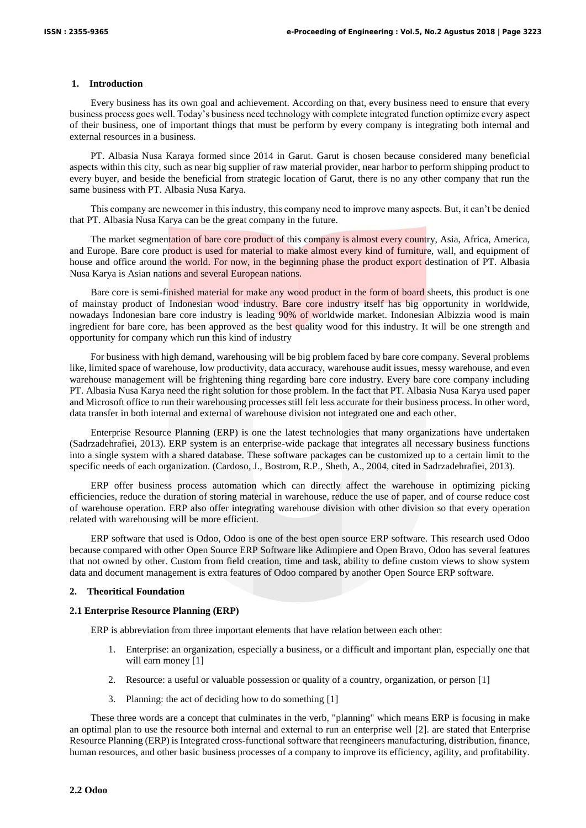# **1. Introduction**

Every business has its own goal and achievement. According on that, every business need to ensure that every business process goes well. Today's business need technology with complete integrated function optimize every aspect of their business, one of important things that must be perform by every company is integrating both internal and external resources in a business.

PT. Albasia Nusa Karaya formed since 2014 in Garut. Garut is chosen because considered many beneficial aspects within this city, such as near big supplier of raw material provider, near harbor to perform shipping product to every buyer, and beside the beneficial from strategic location of Garut, there is no any other company that run the same business with PT. Albasia Nusa Karya.

This company are newcomer in this industry, this company need to improve many aspects. But, it can't be denied that PT. Albasia Nusa Karya can be the great company in the future.

The market segmentation of bare core product of this company is almost every country, Asia, Africa, America, and Europe. Bare core product is used for material to make almost every kind of furniture, wall, and equipment of house and office around the world. For now, in the beginning phase the product export destination of PT. Albasia Nusa Karya is Asian nations and several European nations.

Bare core is semi-finished material for make any wood product in the form of board sheets, this product is one of mainstay product of Indonesian wood industry. Bare core industry itself has big opportunity in worldwide, nowadays Indonesian bare core industry is leading 90% of worldwide market. Indonesian Albizzia wood is main ingredient for bare core, has been approved as the best quality wood for this industry. It will be one strength and opportunity for company which run this kind of industry

For business with high demand, warehousing will be big problem faced by bare core company. Several problems like, limited space of warehouse, low productivity, data accuracy, warehouse audit issues, messy warehouse, and even warehouse management will be frightening thing regarding bare core industry. Every bare core company including PT. Albasia Nusa Karya need the right solution for those problem. In the fact that PT. Albasia Nusa Karya used paper and Microsoft office to run their warehousing processes still felt less accurate for their business process. In other word, data transfer in both internal and external of warehouse division not integrated one and each other.

Enterprise Resource Planning (ERP) is one the latest technologies that many organizations have undertaken (Sadrzadehrafiei, 2013). ERP system is an enterprise-wide package that integrates all necessary business functions into a single system with a shared database. These software packages can be customized up to a certain limit to the specific needs of each organization. (Cardoso, J., Bostrom, R.P., Sheth, A., 2004, cited in Sadrzadehrafiei, 2013).

ERP offer business process automation which can directly affect the warehouse in optimizing picking efficiencies, reduce the duration of storing material in warehouse, reduce the use of paper, and of course reduce cost of warehouse operation. ERP also offer integrating warehouse division with other division so that every operation related with warehousing will be more efficient.

ERP software that used is Odoo, Odoo is one of the best open source ERP software. This research used Odoo because compared with other Open Source ERP Software like Adimpiere and Open Bravo, Odoo has several features that not owned by other. Custom from field creation, time and task, ability to define custom views to show system data and document management is extra features of Odoo compared by another Open Source ERP software.

# **2. Theoritical Foundation**

# **2.1 Enterprise Resource Planning (ERP)**

ERP is abbreviation from three important elements that have relation between each other:

- 1. Enterprise: an organization, especially a business, or a difficult and important plan, especially one that will earn money [1]
- 2. Resource: a useful or valuable possession or quality of a country, organization, or person [1]
- 3. Planning: the act of deciding how to do something [1]

These three words are a concept that culminates in the verb, "planning" which means ERP is focusing in make an optimal plan to use the resource both internal and external to run an enterprise well [2]. are stated that Enterprise Resource Planning (ERP) is Integrated cross-functional software that reengineers manufacturing, distribution, finance, human resources, and other basic business processes of a company to improve its efficiency, agility, and profitability.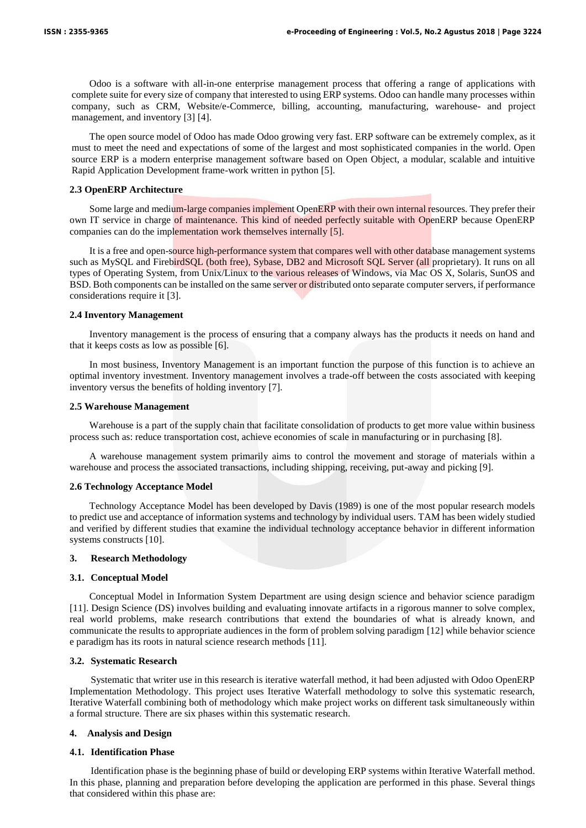Odoo is a software with all-in-one enterprise management process that offering a range of applications with complete suite for every size of company that interested to using ERP systems. Odoo can handle many processes within company, such as CRM, Website/e-Commerce, billing, accounting, manufacturing, warehouse- and project management, and inventory [3] [4].

The open source model of Odoo has made Odoo growing very fast. ERP software can be extremely complex, as it must to meet the need and expectations of some of the largest and most sophisticated companies in the world. Open source ERP is a modern enterprise management software based on Open Object, a modular, scalable and intuitive Rapid Application Development frame-work written in python [5].

### **2.3 OpenERP Architecture**

Some large and medium-large companies implement OpenERP with their own internal resources. They prefer their own IT service in charge of maintenance. This kind of needed perfectly suitable with OpenERP because OpenERP companies can do the implementation work themselves internally [5].

It is a free and open-source high-performance system that compares well with other database management systems such as MySQL and FirebirdSQL (both free), Sybase, DB2 and Microsoft SQL Server (all proprietary). It runs on all types of Operating System, from Unix/Linux to the various releases of Windows, via Mac OS X, Solaris, SunOS and BSD. Both components can be installed on the same server or distributed onto separate computer servers, if performance considerations require it [3].

### **2.4 Inventory Management**

Inventory management is the process of ensuring that a company always has the products it needs on hand and that it keeps costs as low as possible [6].

In most business, Inventory Management is an important function the purpose of this function is to achieve an optimal inventory investment. Inventory management involves a trade-off between the costs associated with keeping inventory versus the benefits of holding inventory [7].

#### **2.5 Warehouse Management**

Warehouse is a part of the supply chain that facilitate consolidation of products to get more value within business process such as: reduce transportation cost, achieve economies of scale in manufacturing or in purchasing [8].

A warehouse management system primarily aims to control the movement and storage of materials within a warehouse and process the associated transactions, including shipping, receiving, put-away and picking [9].

#### **2.6 Technology Acceptance Model**

Technology Acceptance Model has been developed by Davis (1989) is one of the most popular research models to predict use and acceptance of information systems and technology by individual users. TAM has been widely studied and verified by different studies that examine the individual technology acceptance behavior in different information systems constructs [10].

#### **3. Research Methodology**

#### **3.1. Conceptual Model**

Conceptual Model in Information System Department are using design science and behavior science paradigm [11]. Design Science (DS) involves building and evaluating innovate artifacts in a rigorous manner to solve complex, real world problems, make research contributions that extend the boundaries of what is already known, and communicate the results to appropriate audiences in the form of problem solving paradigm [12] while behavior science e paradigm has its roots in natural science research methods [11].

#### **3.2. Systematic Research**

Systematic that writer use in this research is iterative waterfall method, it had been adjusted with Odoo OpenERP Implementation Methodology. This project uses Iterative Waterfall methodology to solve this systematic research, Iterative Waterfall combining both of methodology which make project works on different task simultaneously within a formal structure. There are six phases within this systematic research.

#### **4. Analysis and Design**

#### **4.1. Identification Phase**

Identification phase is the beginning phase of build or developing ERP systems within Iterative Waterfall method. In this phase, planning and preparation before developing the application are performed in this phase. Several things that considered within this phase are: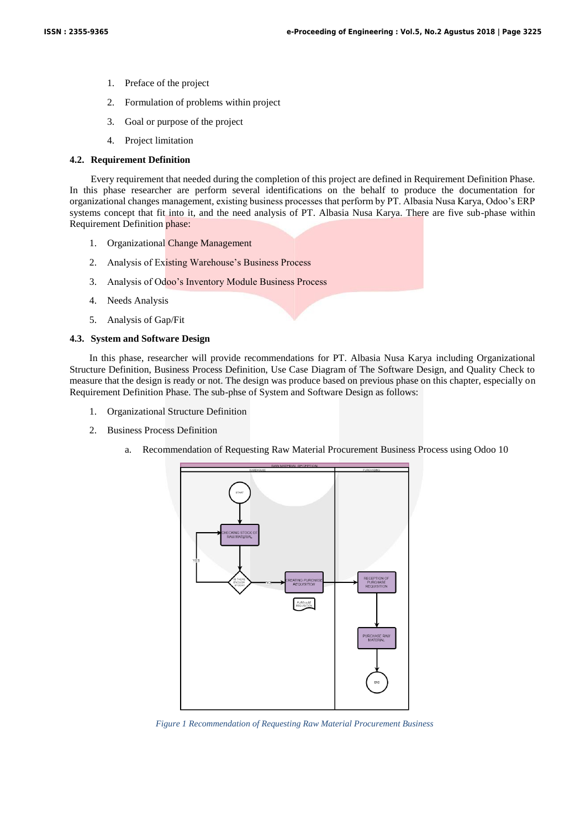- 1. Preface of the project
- 2. Formulation of problems within project
- 3. Goal or purpose of the project
- 4. Project limitation

# **4.2. Requirement Definition**

Every requirement that needed during the completion of this project are defined in Requirement Definition Phase. In this phase researcher are perform several identifications on the behalf to produce the documentation for organizational changes management, existing business processes that perform by PT. Albasia Nusa Karya, Odoo's ERP systems concept that fit into it, and the need analysis of PT. Albasia Nusa Karya. There are five sub-phase within Requirement Definition phase:

- 1. Organizational Change Management
- 2. Analysis of Existing Warehouse's Business Process
- 3. Analysis of Odoo's Inventory Module Business Process
- 4. Needs Analysis
- 5. Analysis of Gap/Fit

## **4.3. System and Software Design**

In this phase, researcher will provide recommendations for PT. Albasia Nusa Karya including Organizational Structure Definition, Business Process Definition, Use Case Diagram of The Software Design, and Quality Check to measure that the design is ready or not. The design was produce based on previous phase on this chapter, especially on Requirement Definition Phase. The sub-phse of System and Software Design as follows:

- 1. Organizational Structure Definition
- 2. Business Process Definition
	- a. Recommendation of Requesting Raw Material Procurement Business Process using Odoo 10



*Figure 1 Recommendation of Requesting Raw Material Procurement Business*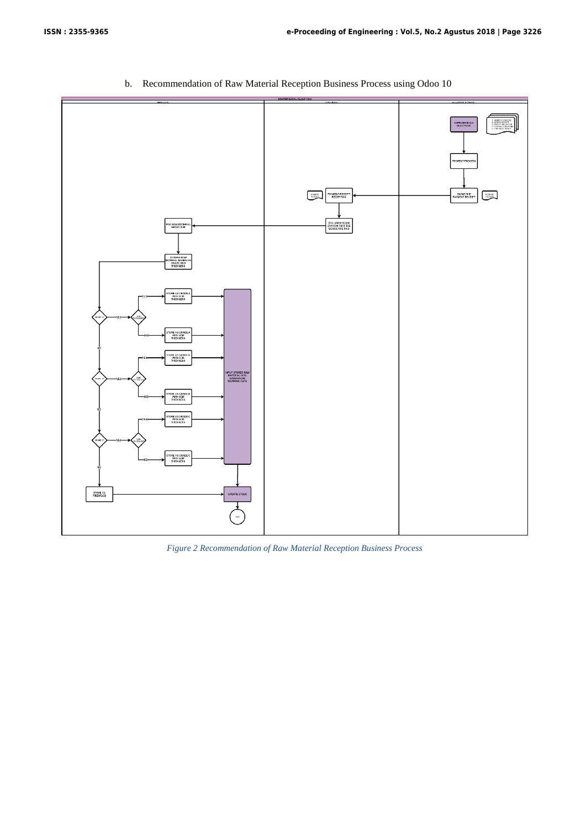

b. Recommendation of Raw Material Reception Business Process using Odoo 10

*Figure 2 Recommendation of Raw Material Reception Business Process*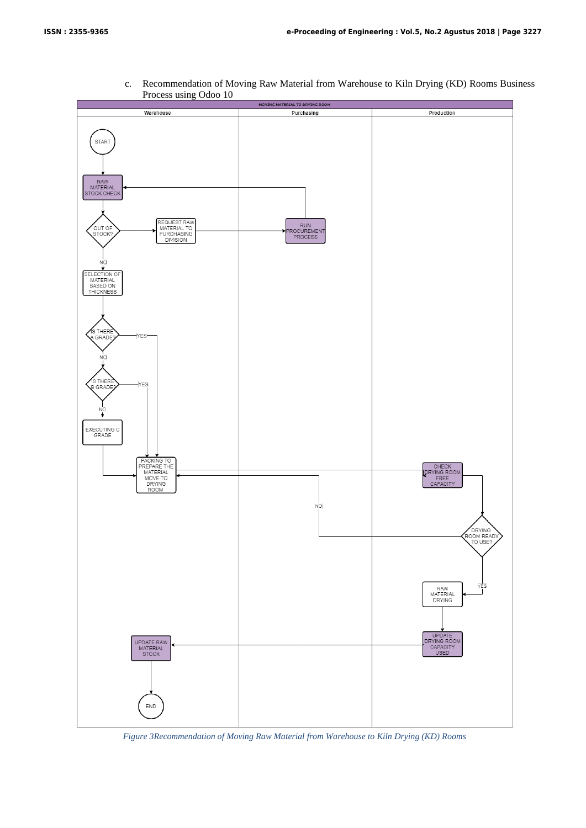

c. Recommendation of Moving Raw Material from Warehouse to Kiln Drying (KD) Rooms Business Process using Odoo 10

*Figure 3Recommendation of Moving Raw Material from Warehouse to Kiln Drying (KD) Rooms*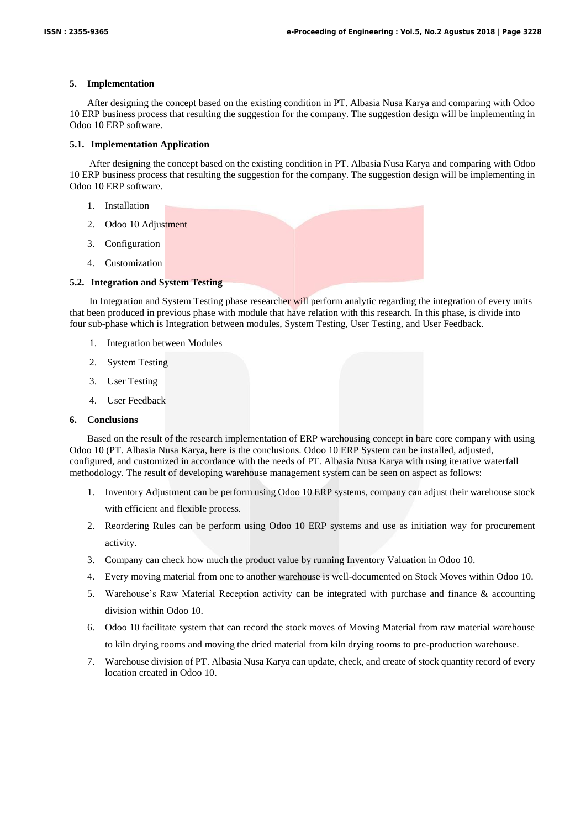### **5. Implementation**

After designing the concept based on the existing condition in PT. Albasia Nusa Karya and comparing with Odoo 10 ERP business process that resulting the suggestion for the company. The suggestion design will be implementing in Odoo 10 ERP software.

#### **5.1. Implementation Application**

After designing the concept based on the existing condition in PT. Albasia Nusa Karya and comparing with Odoo 10 ERP business process that resulting the suggestion for the company. The suggestion design will be implementing in Odoo 10 ERP software.

- 1. Installation
- 2. Odoo 10 Adjustment
- 3. Configuration
- 4. Customization

# **5.2. Integration and System Testing**

In Integration and System Testing phase researcher will perform analytic regarding the integration of every units that been produced in previous phase with module that have relation with this research. In this phase, is divide into four sub-phase which is Integration between modules, System Testing, User Testing, and User Feedback.

- 1. Integration between Modules
- 2. System Testing
- 3. User Testing
- 4. User Feedback

# **6. Conclusions**

Based on the result of the research implementation of ERP warehousing concept in bare core company with using Odoo 10 (PT. Albasia Nusa Karya, here is the conclusions. Odoo 10 ERP System can be installed, adjusted, configured, and customized in accordance with the needs of PT. Albasia Nusa Karya with using iterative waterfall methodology. The result of developing warehouse management system can be seen on aspect as follows:

- 1. Inventory Adjustment can be perform using Odoo 10 ERP systems, company can adjust their warehouse stock with efficient and flexible process.
- 2. Reordering Rules can be perform using Odoo 10 ERP systems and use as initiation way for procurement activity.
- 3. Company can check how much the product value by running Inventory Valuation in Odoo 10.
- 4. Every moving material from one to another warehouse is well-documented on Stock Moves within Odoo 10.
- 5. Warehouse's Raw Material Reception activity can be integrated with purchase and finance & accounting division within Odoo 10.
- 6. Odoo 10 facilitate system that can record the stock moves of Moving Material from raw material warehouse to kiln drying rooms and moving the dried material from kiln drying rooms to pre-production warehouse.
- 7. Warehouse division of PT. Albasia Nusa Karya can update, check, and create of stock quantity record of every location created in Odoo 10.